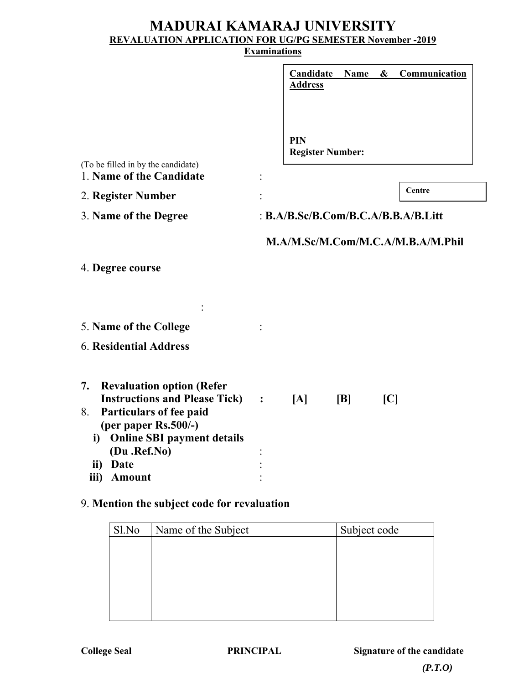# **MADURAI KAMARAJ UNIVERSITY REVALUATION APPLICATION FOR UG/PG SEMESTER November -2019**

#### **Examinations**

|                                                                                                                                                                                             |                | <b>Candidate</b><br><b>Address</b> | <b>Name</b> | $\boldsymbol{\&}$ | <b>Communication</b>                  |  |
|---------------------------------------------------------------------------------------------------------------------------------------------------------------------------------------------|----------------|------------------------------------|-------------|-------------------|---------------------------------------|--|
| (To be filled in by the candidate)<br>1. Name of the Candidate                                                                                                                              |                | PIN<br><b>Register Number:</b>     |             |                   |                                       |  |
|                                                                                                                                                                                             |                |                                    |             |                   | Centre                                |  |
| 2. Register Number                                                                                                                                                                          |                |                                    |             |                   |                                       |  |
| 3. Name of the Degree                                                                                                                                                                       |                |                                    |             |                   | : $B.A/B.Sc/B.Com/B.C.A/B.B.A/B.Litt$ |  |
| 4. Degree course                                                                                                                                                                            |                |                                    |             |                   | M.A/M.Sc/M.Com/M.C.A/M.B.A/M.Phil     |  |
| 5. Name of the College                                                                                                                                                                      |                |                                    |             |                   |                                       |  |
| <b>6. Residential Address</b>                                                                                                                                                               |                |                                    |             |                   |                                       |  |
| 7.<br><b>Revaluation option (Refer</b><br><b>Instructions and Please Tick)</b><br>Particulars of fee paid<br>8.<br>(per paper $Rs.500/-$ )<br>i) Online SBI payment details<br>(Du .Ref.No) | $\ddot{\cdot}$ | [A]                                | B           | C                 |                                       |  |
| Date<br>$\mathbf{ii}$                                                                                                                                                                       |                |                                    |             |                   |                                       |  |
| Amount<br>iii)                                                                                                                                                                              |                |                                    |             |                   |                                       |  |
|                                                                                                                                                                                             |                |                                    |             |                   |                                       |  |

### 9. **Mention the subject code for revaluation**

| Sl.No | Name of the Subject | Subject code |  |  |
|-------|---------------------|--------------|--|--|
|       |                     |              |  |  |
|       |                     |              |  |  |
|       |                     |              |  |  |
|       |                     |              |  |  |
|       |                     |              |  |  |
|       |                     |              |  |  |